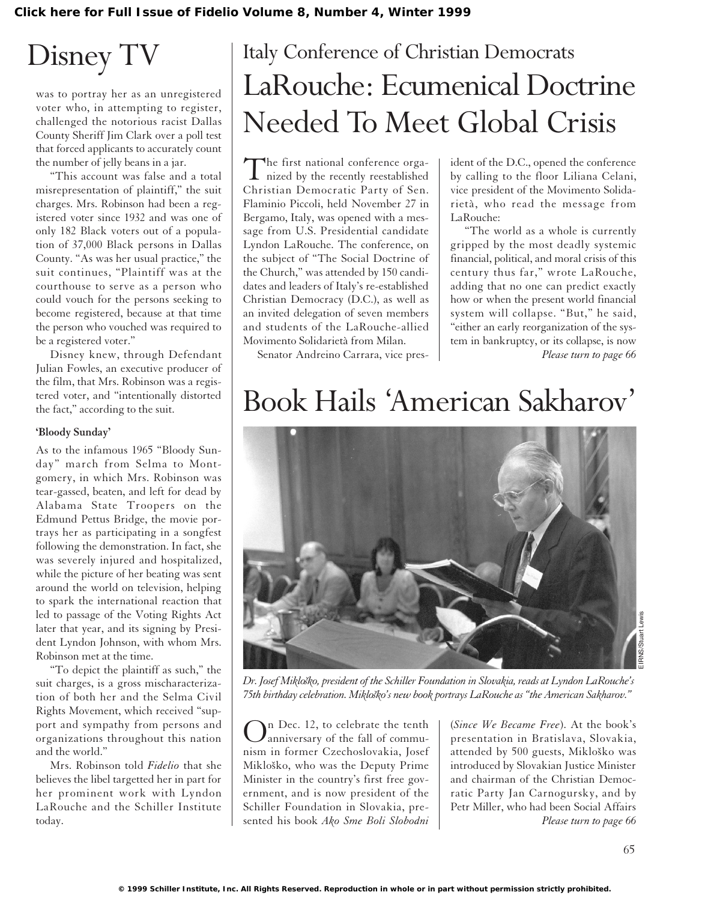# Disney TV

was to portray her as an unregistered voter who, in attempting to register, challenged the notorious racist Dallas County Sheriff Jim Clark over a poll test that forced applicants to accurately count the number of jelly beans in a jar.

"This account was false and a total misrepresentation of plaintiff," the suit charges. Mrs. Robinson had been a registered voter since 1932 and was one of only 182 Black voters out of a population of 37,000 Black persons in Dallas County. "As was her usual practice," the suit continues, "Plaintiff was at the courthouse to serve as a person who could vouch for the persons seeking to become registered, because at that time the person who vouched was required to be a registered voter."

Disney knew, through Defendant Julian Fowles, an executive producer of the film, that Mrs. Robinson was a registered voter, and "intentionally distorted the fact," according to the suit.

#### **'Bloody Sunday'**

As to the infamous 1965 "Bloody Sunday" march from Selma to Montgomery, in which Mrs. Robinson was tear-gassed, beaten, and left for dead by Alabama State Troopers on the Edmund Pettus Bridge, the movie portrays her as participating in a songfest following the demonstration. In fact, she was severely injured and hospitalized, while the picture of her beating was sent around the world on television, helping to spark the international reaction that led to passage of the Voting Rights Act later that year, and its signing by President Lyndon Johnson, with whom Mrs. Robinson met at the time.

"To depict the plaintiff as such," the suit charges, is a gross mischaracterization of both her and the Selma Civil Rights Movement, which received "support and sympathy from persons and organizations throughout this nation and the world."

Mrs. Robinson told *Fidelio* that she believes the libel targetted her in part for her prominent work with Lyndon LaRouche and the Schiller Institute today.

### Italy Conference of Christian Democrats LaRouche: Ecumenical Doctrine Needed To Meet Global Crisis

The first national conference orga-<br>nized by the recently reestablished Christian Democratic Party of Sen. Flaminio Piccoli, held November 27 in Bergamo, Italy, was opened with a message from U.S. Presidential candidate Lyndon LaRouche. The conference, on the subject of "The Social Doctrine of the Church," was attended by 150 candidates and leaders of Italy's re-established Christian Democracy (D.C.), as well as an invited delegation of seven members and students of the LaRouche-allied Movimento Solidarietà from Milan.

ident of the D.C., opened the conference by calling to the floor Liliana Celani, vice president of the Movimento Solidarietà, who read the message from LaRouche:

"The world as a whole is currently gripped by the most deadly systemic financial, political, and moral crisis of this century thus far," wrote LaRouche, adding that no one can predict exactly how or when the present world financial system will collapse. "But," he said, "either an early reorganization of the system in bankruptcy, or its collapse, is now *Please turn to page 66*

Senator Andreino Carrara, vice pres-

## Book Hails 'American Sakharov'



*Dr. Josef Mikloˇsko, president of the Schiller Foundation in Slovakia, reads at Lyndon LaRouche's 75th birthday celebration. Miklosko's new book portrays LaRouche as "the American Sakharov." ˇ*

In Dec. 12, to celebrate the tenth anniversary of the fall of communism in former Czechoslovakia, Josef Mikloško, who was the Deputy Prime Minister in the country's first free government, and is now president of the Schiller Foundation in Slovakia, presented his book *Ako Sme Boli Slobodni*

(*Since We Became Free*). At the book's presentation in Bratislava, Slovakia, attended by 500 guests, Mikloško was introduced by Slovakian Justice Minister and chairman of the Christian Democratic Party Jan Carnogursky, and by Petr Miller, who had been Social Affairs *Please turn to page 66*